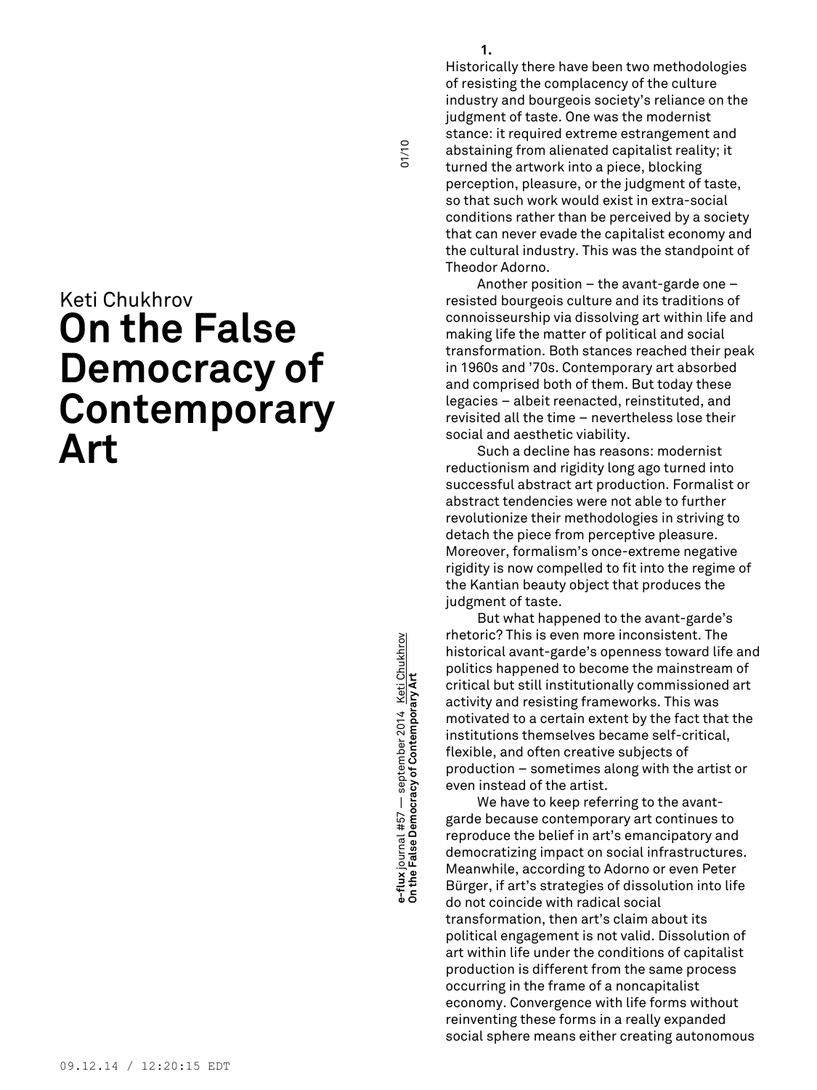## Keti Chukhrov **On the False Democracy of Contemporary Art**

**On the False Democracy of Contemporary Art** 01/10 e-flux journal #57 — september 2014 <u>Keti Chukhrov</u><br>On the False Democracy of Contemporary Art **e-flux** journal #57 — september 2014 <u>Keti Chukhrov</u><br>On the False Democracy of Contemporary Art

Historically there have been two methodologies of resisting the complacency of the culture industry and bourgeois society's reliance on the judgment of taste. One was the modernist stance: it required extreme estrangement and abstaining from alienated capitalist reality; it turned the artwork into a piece, blocking perception, pleasure, or the judgment of taste, so that such work would exist in extra-social conditions rather than be perceived by a society that can never evade the capitalist economy and the cultural industry. This was the standpoint of Theodor Adorno.

Another position – the avant-garde one – resisted bourgeois culture and its traditions of connoisseurship via dissolving art within life and making life the matter of political and social transformation. Both stances reached their peak in 1960s and '70s. Contemporary art absorbed and comprised both of them. But today these legacies – albeit reenacted, reinstituted, and revisited all the time – nevertheless lose their social and aesthetic viability.

Such a decline has reasons: modernist reductionism and rigidity long ago turned into successful abstract art production. Formalist or abstract tendencies were not able to further revolutionize their methodologies in striving to detach the piece from perceptive pleasure. Moreover, formalism's once-extreme negative rigidity is now compelled to fit into the regime of the Kantian beauty object that produces the judgment of taste.

But what happened to the avant-garde's rhetoric? This is even more inconsistent. The historical avant-garde's openness toward life and politics happened to become the mainstream of critical but still institutionally commissioned art activity and resisting frameworks. This was motivated to a certain extent by the fact that the institutions themselves became self-critical, flexible, and often creative subjects of production – sometimes along with the artist or even instead of the artist.

We have to keep referring to the avantgarde because contemporary art continues to reproduce the belief in art's emancipatory and democratizing impact on social infrastructures. Meanwhile, according to Adorno or even Peter Bürger, if art's strategies of dissolution into life do not coincide with radical social transformation, then art's claim about its political engagement is not valid. Dissolution of art within life under the conditions of capitalist production is different from the same process occurring in the frame of a noncapitalist economy. Convergence with life forms without reinventing these forms in a really expanded social sphere means either creating autonomous

01/10

**1.**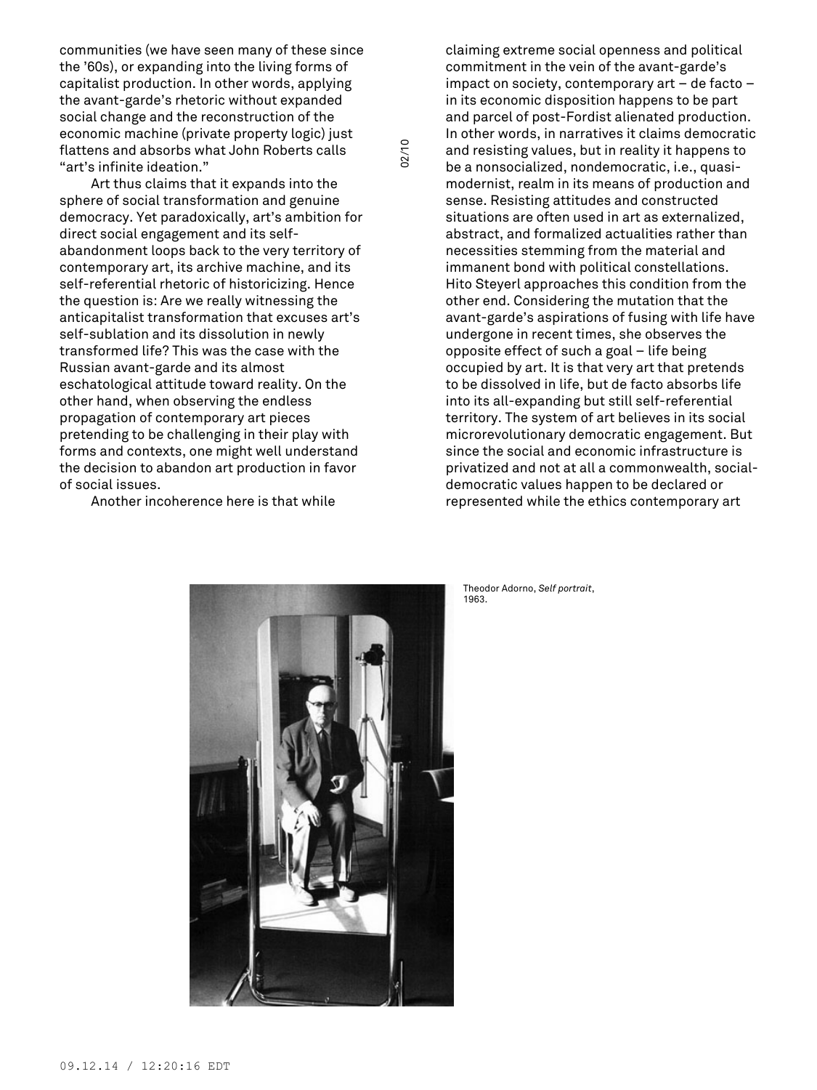communities (we have seen many of these since the '60s), or expanding into the living forms of capitalist production. In other words, applying the avant-garde's rhetoric without expanded social change and the reconstruction of the economic machine (private property logic) just flattens and absorbs what John Roberts calls "art's infinite ideation."

02/10

Art thus claims that it expands into the sphere of social transformation and genuine democracy. Yet paradoxically, art's ambition for direct social engagement and its selfabandonment loops back to the very territory of contemporary art, its archive machine, and its self-referential rhetoric of historicizing. Hence the question is: Are we really witnessing the anticapitalist transformation that excuses art's self-sublation and its dissolution in newly transformed life? This was the case with the Russian avant-garde and its almost eschatological attitude toward reality. On the other hand, when observing the endless propagation of contemporary art pieces pretending to be challenging in their play with forms and contexts, one might well understand the decision to abandon art production in favor of social issues.

Another incoherence here is that while

claiming extreme social openness and political commitment in the vein of the avant-garde's impact on society, contemporary art – de facto – in its economic disposition happens to be part and parcel of post-Fordist alienated production. In other words, in narratives it claims democratic and resisting values, but in reality it happens to be a nonsocialized, nondemocratic, i.e., quasimodernist, realm in its means of production and sense. Resisting attitudes and constructed situations are often used in art as externalized, abstract, and formalized actualities rather than necessities stemming from the material and immanent bond with political constellations. Hito Steyerl approaches this condition from the other end. Considering the mutation that the avant-garde's aspirations of fusing with life have undergone in recent times, she observes the opposite effect of such a goal – life being occupied by art. It is that very art that pretends to be dissolved in life, but de facto absorbs life into its all-expanding but still self-referential territory. The system of art believes in its social microrevolutionary democratic engagement. But since the social and economic infrastructure is privatized and not at all a commonwealth, socialdemocratic values happen to be declared or represented while the ethics contemporary art



Theodor Adorno, *Self portrait*, 1963.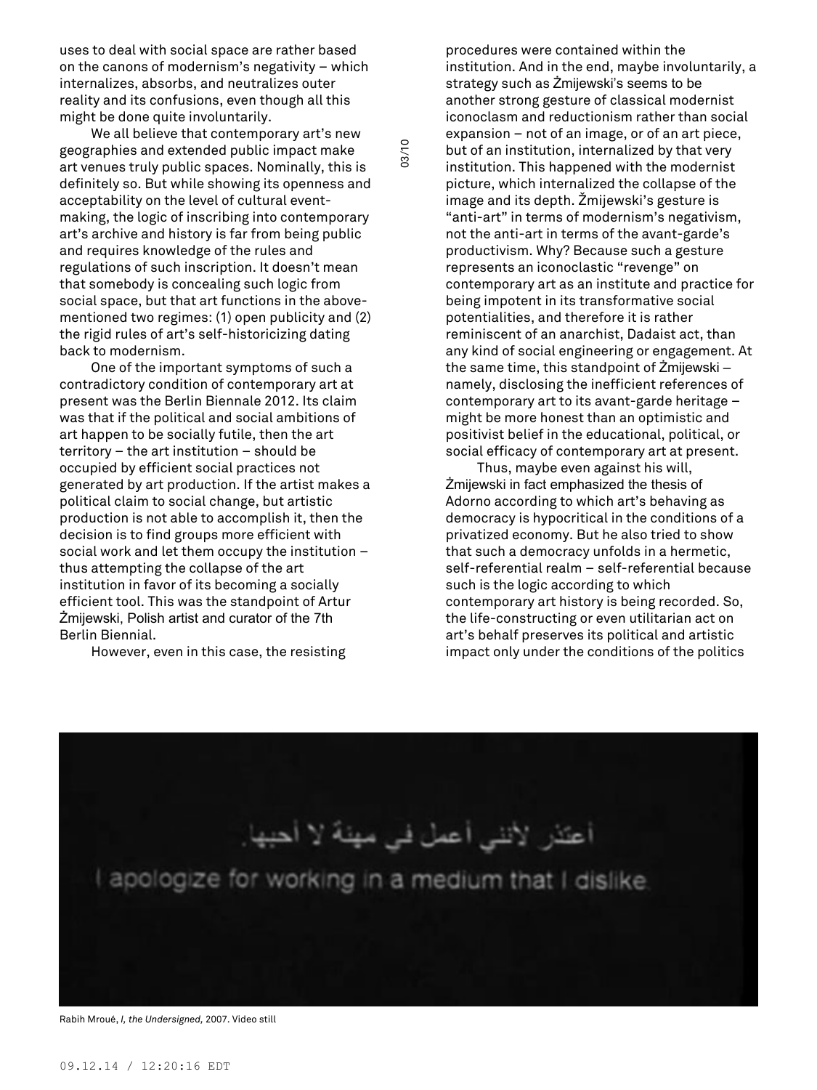uses to deal with social space are rather based on the canons of modernism's negativity – which internalizes, absorbs, and neutralizes outer reality and its confusions, even though all this might be done quite involuntarily.

We all believe that contemporary art's new geographies and extended public impact make art venues truly public spaces. Nominally, this is definitely so. But while showing its openness and acceptability on the level of cultural eventmaking, the logic of inscribing into contemporary art's archive and history is far from being public and requires knowledge of the rules and regulations of such inscription. It doesn't mean that somebody is concealing such logic from social space, but that art functions in the abovementioned two regimes: (1) open publicity and (2) the rigid rules of art's self-historicizing dating back to modernism.

One of the important symptoms of such a contradictory condition of contemporary art at present was the Berlin Biennale 2012. Its claim was that if the political and social ambitions of art happen to be socially futile, then the art territory – the art institution – should be occupied by efficient social practices not generated by art production. If the artist makes a political claim to social change, but artistic production is not able to accomplish it, then the decision is to find groups more efficient with social work and let them occupy the institution – thus attempting the collapse of the art institution in favor of its becoming a socially efficient tool. This was the standpoint of Artur Żmijewski, Polish artist and curator of the 7th Berlin Biennial.

However, even in this case, the resisting

procedures were contained within the institution. And in the end, maybe involuntarily, a strategy such as Żmijewski's seems to be another strong gesture of classical modernist iconoclasm and reductionism rather than social expansion – not of an image, or of an art piece, but of an institution, internalized by that very institution. This happened with the modernist picture, which internalized the collapse of the image and its depth. Žmijewski's gesture is "anti-art" in terms of modernism's negativism, not the anti-art in terms of the avant-garde's productivism. Why? Because such a gesture represents an iconoclastic "revenge" on contemporary art as an institute and practice for being impotent in its transformative social potentialities, and therefore it is rather reminiscent of an anarchist, Dadaist act, than any kind of social engineering or engagement. At the same time, this standpoint of Żmijewski – namely, disclosing the inefficient references of contemporary art to its avant-garde heritage – might be more honest than an optimistic and positivist belief in the educational, political, or social efficacy of contemporary art at present.

Thus, maybe even against his will, Żmijewski in fact emphasized the thesis of Adorno according to which art's behaving as democracy is hypocritical in the conditions of a privatized economy. But he also tried to show that such a democracy unfolds in a hermetic, self-referential realm – self-referential because such is the logic according to which contemporary art history is being recorded. So, the life-constructing or even utilitarian act on art's behalf preserves its political and artistic impact only under the conditions of the politics



03/10

Rabih Mroué, *I, the Undersigned,* 2007. Video still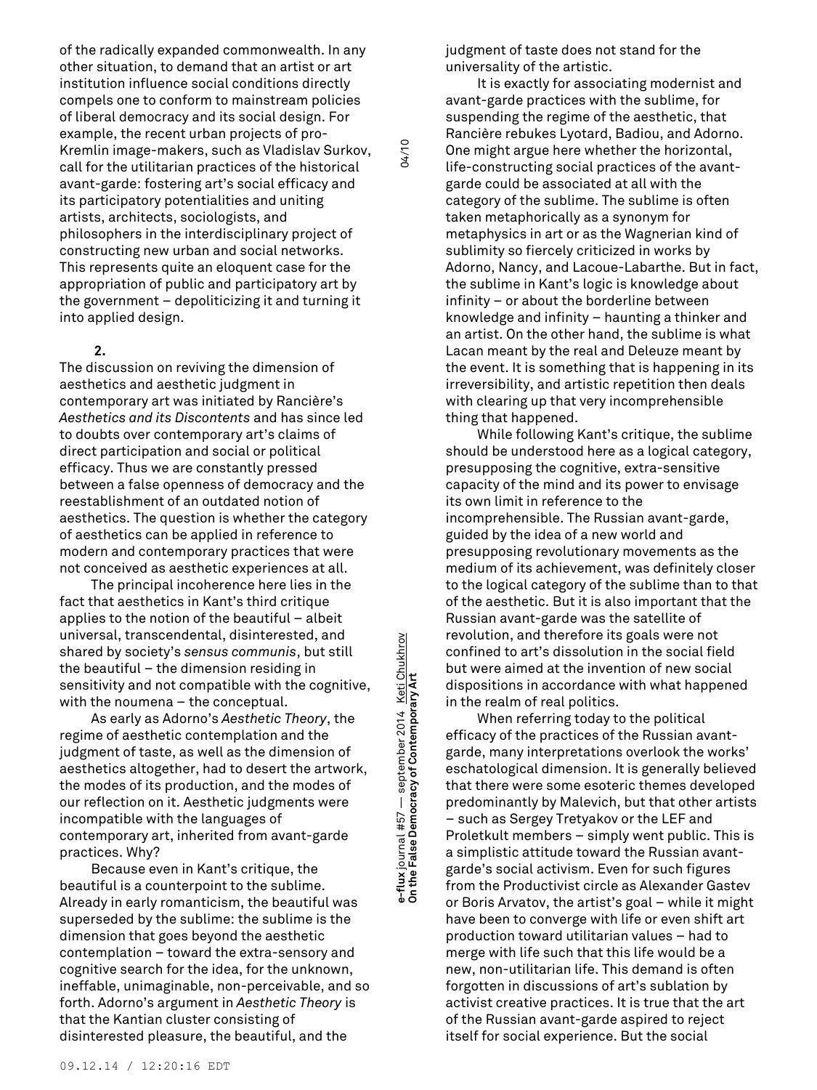of the radically expanded commonwealth. In any other situation, to demand that an artist or art institution influence social conditions directly compels one to conform to mainstream policies of liberal democracy and its social design. For example, the recent urban projects of pro-Kremlin image-makers, such as Vladislav Surkov, call for the utilitarian practices of the historical avant-garde: fostering art's social efficacy and its participatory potentialities and uniting artists, architects, sociologists, and philosophers in the interdisciplinary project of constructing new urban and social networks. This represents quite an eloquent case for the appropriation of public and participatory art by the government – depoliticizing it and turning it into applied design.

## **2.**

The discussion on reviving the dimension of aesthetics and aesthetic judgment in contemporary art was initiated by Rancière's *Aesthetics and its Discontents* and has since led to doubts over contemporary art's claims of direct participation and social or political efficacy. Thus we are constantly pressed between a false openness of democracy and the reestablishment of an outdated notion of aesthetics. The question is whether the category of aesthetics can be applied in reference to modern and contemporary practices that were not conceived as aesthetic experiences at all.

The principal incoherence here lies in the fact that aesthetics in Kant's third critique applies to the notion of the beautiful – albeit universal, transcendental, disinterested, and shared by society's *sensus communis*, but still the beautiful – the dimension residing in sensitivity and not compatible with the cognitive, with the noumena – the conceptual.

As early as Adorno's *Aesthetic Theory*, the regime of aesthetic contemplation and the judgment of taste, as well as the dimension of aesthetics altogether, had to desert the artwork, the modes of its production, and the modes of our reflection on it. Aesthetic judgments were incompatible with the languages of contemporary art, inherited from avant-garde practices. Why?

Because even in Kant's critique, the beautiful is a counterpoint to the sublime. Already in early romanticism, the beautiful was superseded by the sublime: the sublime is the dimension that goes beyond the aesthetic contemplation – toward the extra-sensory and cognitive search for the idea, for the unknown, ineffable, unimaginable, non-perceivable, and so forth. Adorno's argument in *Aesthetic Theory* is that the Kantian cluster consisting of disinterested pleasure, the beautiful, and the

**On the False Democracy of Contemporary Art** 04/10 e-flux journal #57 — september 2014 <u>Keti Chukhrov</u><br>On the False Democracy of Contemporary Art **e-flux** journal #57 — september 2014 <u>Keti Chukhrov</u><br>On the False Democracy of Contemporary Art

04/10

judgment of taste does not stand for the universality of the artistic.

It is exactly for associating modernist and avant-garde practices with the sublime, for suspending the regime of the aesthetic, that Rancière rebukes Lyotard, Badiou, and Adorno. One might argue here whether the horizontal, life-constructing social practices of the avantgarde could be associated at all with the category of the sublime. The sublime is often taken metaphorically as a synonym for metaphysics in art or as the Wagnerian kind of sublimity so fiercely criticized in works by Adorno, Nancy, and Lacoue-Labarthe. But in fact, the sublime in Kant's logic is knowledge about infinity – or about the borderline between knowledge and infinity – haunting a thinker and an artist. On the other hand, the sublime is what Lacan meant by the real and Deleuze meant by the event. It is something that is happening in its irreversibility, and artistic repetition then deals with clearing up that very incomprehensible thing that happened.

While following Kant's critique, the sublime should be understood here as a logical category, presupposing the cognitive, extra-sensitive capacity of the mind and its power to envisage its own limit in reference to the incomprehensible. The Russian avant-garde, guided by the idea of a new world and presupposing revolutionary movements as the medium of its achievement, was definitely closer to the logical category of the sublime than to that of the aesthetic. But it is also important that the Russian avant-garde was the satellite of revolution, and therefore its goals were not confined to art's dissolution in the social field but were aimed at the invention of new social dispositions in accordance with what happened in the realm of real politics.

When referring today to the political efficacy of the practices of the Russian avantgarde, many interpretations overlook the works' eschatological dimension. It is generally believed that there were some esoteric themes developed predominantly by Malevich, but that other artists – such as Sergey Tretyakov or the LEF and Proletkult members – simply went public. This is a simplistic attitude toward the Russian avantgarde's social activism. Even for such figures from the Productivist circle as Alexander Gastev or Boris Arvatov, the artist's goal – while it might have been to converge with life or even shift art production toward utilitarian values – had to merge with life such that this life would be a new, non-utilitarian life. This demand is often forgotten in discussions of art's sublation by activist creative practices. It is true that the art of the Russian avant-garde aspired to reject itself for social experience. But the social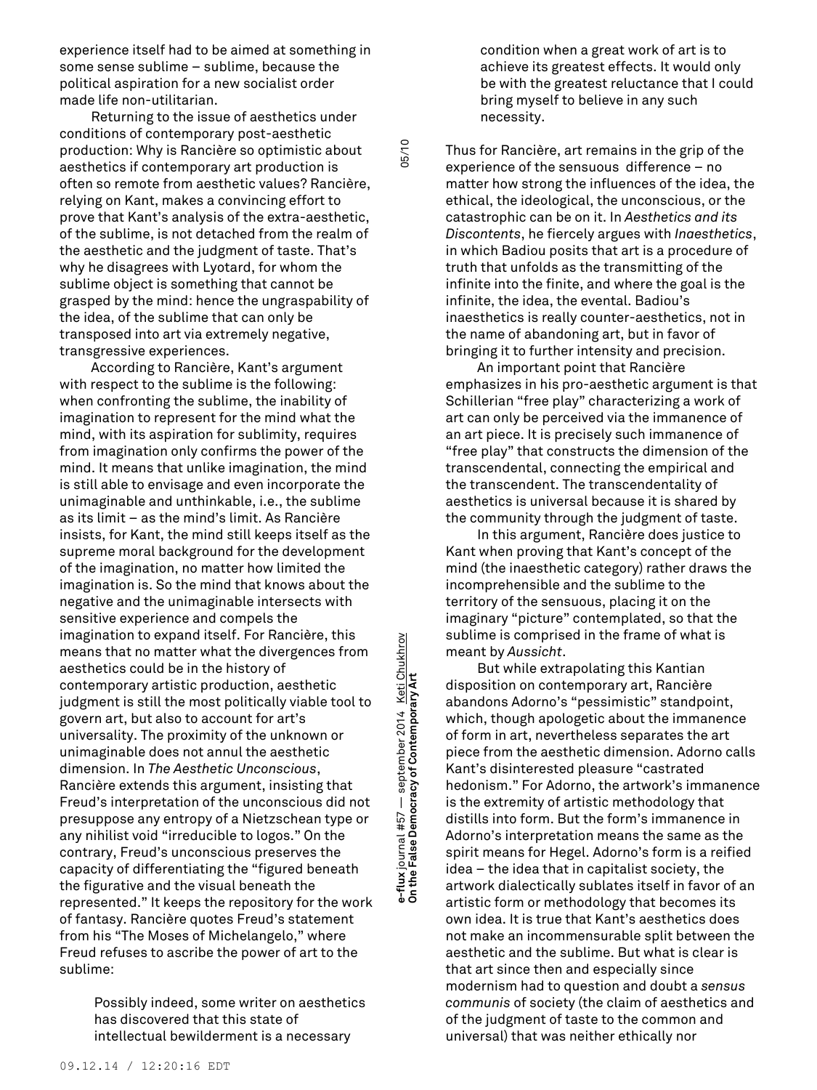experience itself had to be aimed at something in some sense sublime – sublime, because the political aspiration for a new socialist order made life non-utilitarian.

Returning to the issue of aesthetics under conditions of contemporary post-aesthetic production: Why is Rancière so optimistic about aesthetics if contemporary art production is often so remote from aesthetic values? Rancière, relying on Kant, makes a convincing effort to prove that Kant's analysis of the extra-aesthetic, of the sublime, is not detached from the realm of the aesthetic and the judgment of taste. That's why he disagrees with Lyotard, for whom the sublime object is something that cannot be grasped by the mind: hence the ungraspability of the idea, of the sublime that can only be transposed into art via extremely negative, transgressive experiences.

According to Rancière, Kant's argument with respect to the sublime is the following: when confronting the sublime, the inability of imagination to represent for the mind what the mind, with its aspiration for sublimity, requires from imagination only confirms the power of the mind. It means that unlike imagination, the mind is still able to envisage and even incorporate the unimaginable and unthinkable, i.e., the sublime as its limit – as the mind's limit. As Rancière insists, for Kant, the mind still keeps itself as the supreme moral background for the development of the imagination, no matter how limited the imagination is. So the mind that knows about the negative and the unimaginable intersects with sensitive experience and compels the imagination to expand itself. For Rancière, this means that no matter what the divergences from aesthetics could be in the history of contemporary artistic production, aesthetic judgment is still the most politically viable tool to govern art, but also to account for art's universality. The proximity of the unknown or unimaginable does not annul the aesthetic dimension. In *The Aesthetic Unconscious*, Rancière extends this argument, insisting that Freud's interpretation of the unconscious did not presuppose any entropy of a Nietzschean type or any nihilist void "irreducible to logos." On the contrary, Freud's unconscious preserves the capacity of differentiating the "figured beneath the figurative and the visual beneath the represented." It keeps the repository for the work of fantasy. Rancière quotes Freud's statement from his "The Moses of Michelangelo," where Freud refuses to ascribe the power of art to the sublime:

> Possibly indeed, some writer on aesthetics has discovered that this state of intellectual bewilderment is a necessary

**On the False Democracy of Contemporary Art** 05/10 e-flux journal #57 — september 2014 <u>Keti Chukhrov</u><br>On the False Democracy of Contemporary Art **e-flux** journal #57 — september 2014 <u>Keti Chukhrov</u><br>On the False Democracy of Contemporary Art

05/10

condition when a great work of art is to achieve its greatest effects. It would only be with the greatest reluctance that I could bring myself to believe in any such necessity.

Thus for Rancière, art remains in the grip of the experience of the sensuous difference – no matter how strong the influences of the idea, the ethical, the ideological, the unconscious, or the catastrophic can be on it. In *Aesthetics and its Discontents*, he fiercely argues with *Inaesthetics*, in which Badiou posits that art is a procedure of truth that unfolds as the transmitting of the infinite into the finite, and where the goal is the infinite, the idea, the evental. Badiou's inaesthetics is really counter-aesthetics, not in the name of abandoning art, but in favor of bringing it to further intensity and precision.

An important point that Rancière emphasizes in his pro-aesthetic argument is that Schillerian "free play" characterizing a work of art can only be perceived via the immanence of an art piece. It is precisely such immanence of "free play" that constructs the dimension of the transcendental, connecting the empirical and the transcendent. The transcendentality of aesthetics is universal because it is shared by the community through the judgment of taste.

In this argument, Rancière does justice to Kant when proving that Kant's concept of the mind (the inaesthetic category) rather draws the incomprehensible and the sublime to the territory of the sensuous, placing it on the imaginary "picture" contemplated, so that the sublime is comprised in the frame of what is meant by *Aussicht*.

But while extrapolating this Kantian disposition on contemporary art, Rancière abandons Adorno's "pessimistic" standpoint, which, though apologetic about the immanence of form in art, nevertheless separates the art piece from the aesthetic dimension. Adorno calls Kant's disinterested pleasure "castrated hedonism." For Adorno, the artwork's immanence is the extremity of artistic methodology that distills into form. But the form's immanence in Adorno's interpretation means the same as the spirit means for Hegel. Adorno's form is a reified idea – the idea that in capitalist society, the artwork dialectically sublates itself in favor of an artistic form or methodology that becomes its own idea. It is true that Kant's aesthetics does not make an incommensurable split between the aesthetic and the sublime. But what is clear is that art since then and especially since modernism had to question and doubt a *sensus communis* of society (the claim of aesthetics and of the judgment of taste to the common and universal) that was neither ethically nor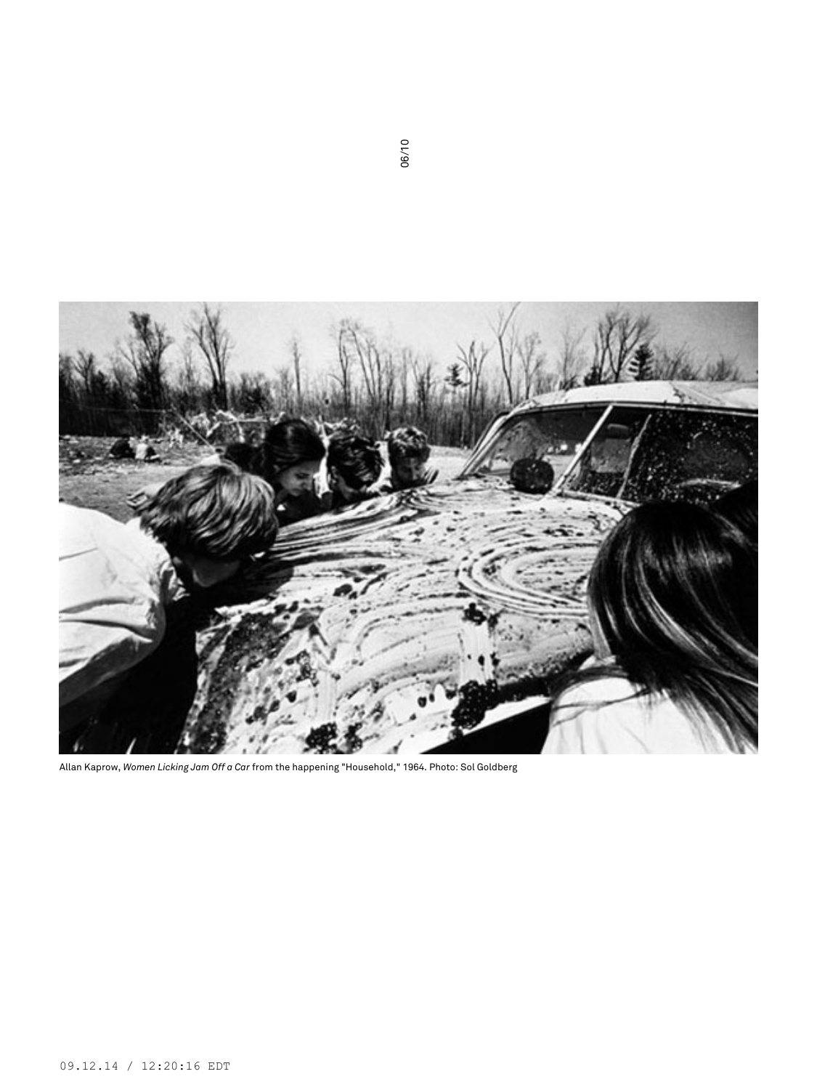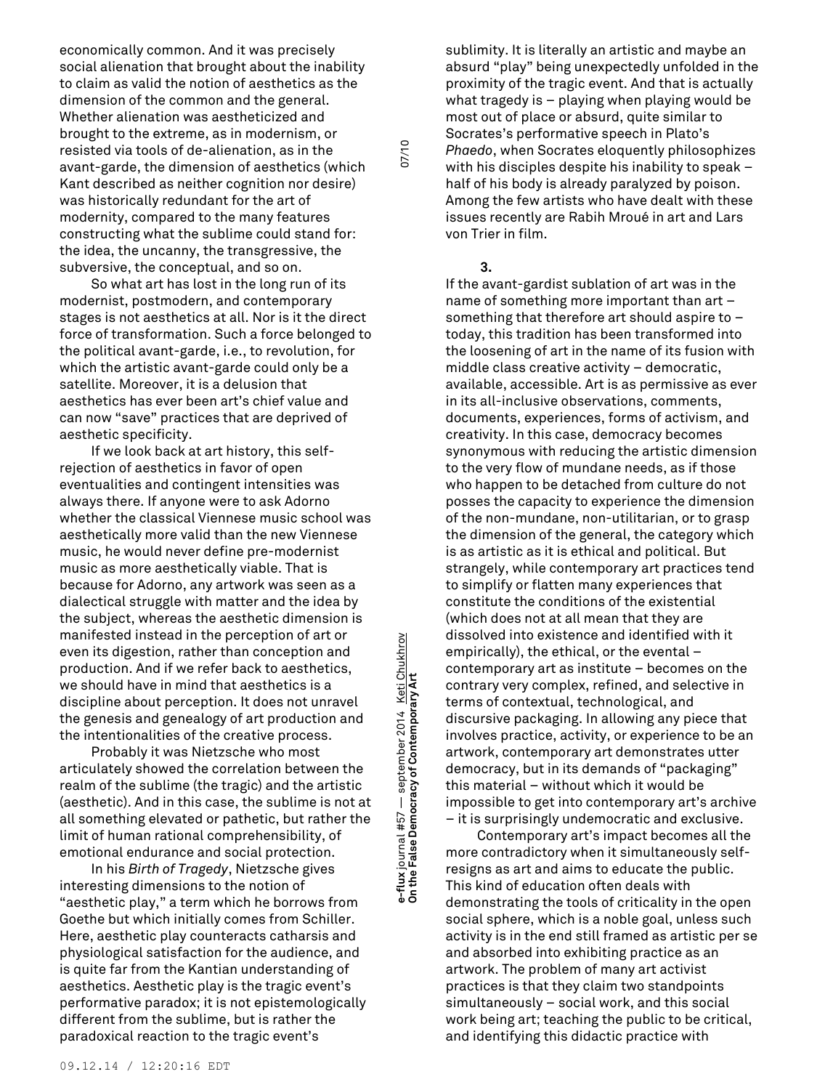economically common. And it was precisely social alienation that brought about the inability to claim as valid the notion of aesthetics as the dimension of the common and the general. Whether alienation was aestheticized and brought to the extreme, as in modernism, or resisted via tools of de-alienation, as in the avant-garde, the dimension of aesthetics (which Kant described as neither cognition nor desire) was historically redundant for the art of modernity, compared to the many features constructing what the sublime could stand for: the idea, the uncanny, the transgressive, the subversive, the conceptual, and so on.

So what art has lost in the long run of its modernist, postmodern, and contemporary stages is not aesthetics at all. Nor is it the direct force of transformation. Such a force belonged to the political avant-garde, i.e., to revolution, for which the artistic avant-garde could only be a satellite. Moreover, it is a delusion that aesthetics has ever been art's chief value and can now "save" practices that are deprived of aesthetic specificity.

If we look back at art history, this selfrejection of aesthetics in favor of open eventualities and contingent intensities was always there. If anyone were to ask Adorno whether the classical Viennese music school was aesthetically more valid than the new Viennese music, he would never define pre-modernist music as more aesthetically viable. That is because for Adorno, any artwork was seen as a dialectical struggle with matter and the idea by the subject, whereas the aesthetic dimension is manifested instead in the perception of art or even its digestion, rather than conception and production. And if we refer back to aesthetics, we should have in mind that aesthetics is a discipline about perception. It does not unravel the genesis and genealogy of art production and the intentionalities of the creative process.

Probably it was Nietzsche who most articulately showed the correlation between the realm of the sublime (the tragic) and the artistic (aesthetic). And in this case, the sublime is not at all something elevated or pathetic, but rather the limit of human rational comprehensibility, of emotional endurance and social protection.

In his *Birth of Tragedy*, Nietzsche gives interesting dimensions to the notion of "aesthetic play," a term which he borrows from Goethe but which initially comes from Schiller. Here, aesthetic play counteracts catharsis and physiological satisfaction for the audience, and is quite far from the Kantian understanding of aesthetics. Aesthetic play is the tragic event's performative paradox; it is not epistemologically different from the sublime, but is rather the paradoxical reaction to the tragic event's

**On the False Democracy of Contemporary Art** 07/10 e-flux journal #57 — september 2014 <u>Keti Chukhrov</u><br>On the False Democracy of Contemporary Art **e-flux** journal #57 — september 2014 <u>Keti Chukhrov</u><br>On the False Democracy of Contemporary Art

sublimity. It is literally an artistic and maybe an absurd "play" being unexpectedly unfolded in the proximity of the tragic event. And that is actually what tragedy is – playing when playing would be most out of place or absurd, quite similar to Socrates's performative speech in Plato's *Phaedo*, when Socrates eloquently philosophizes with his disciples despite his inability to speak – half of his body is already paralyzed by poison. Among the few artists who have dealt with these issues recently are Rabih Mroué in art and Lars von Trier in film.

## **3.**

If the avant-gardist sublation of art was in the name of something more important than art – something that therefore art should aspire to – today, this tradition has been transformed into the loosening of art in the name of its fusion with middle class creative activity – democratic, available, accessible. Art is as permissive as ever in its all-inclusive observations, comments, documents, experiences, forms of activism, and creativity. In this case, democracy becomes synonymous with reducing the artistic dimension to the very flow of mundane needs, as if those who happen to be detached from culture do not posses the capacity to experience the dimension of the non-mundane, non-utilitarian, or to grasp the dimension of the general, the category which is as artistic as it is ethical and political. But strangely, while contemporary art practices tend to simplify or flatten many experiences that constitute the conditions of the existential (which does not at all mean that they are dissolved into existence and identified with it empirically), the ethical, or the evental – contemporary art as institute – becomes on the contrary very complex, refined, and selective in terms of contextual, technological, and discursive packaging. In allowing any piece that involves practice, activity, or experience to be an artwork, contemporary art demonstrates utter democracy, but in its demands of "packaging" this material – without which it would be impossible to get into contemporary art's archive – it is surprisingly undemocratic and exclusive.

Contemporary art's impact becomes all the more contradictory when it simultaneously selfresigns as art and aims to educate the public. This kind of education often deals with demonstrating the tools of criticality in the open social sphere, which is a noble goal, unless such activity is in the end still framed as artistic per se and absorbed into exhibiting practice as an artwork. The problem of many art activist practices is that they claim two standpoints simultaneously – social work, and this social work being art; teaching the public to be critical, and identifying this didactic practice with

07/10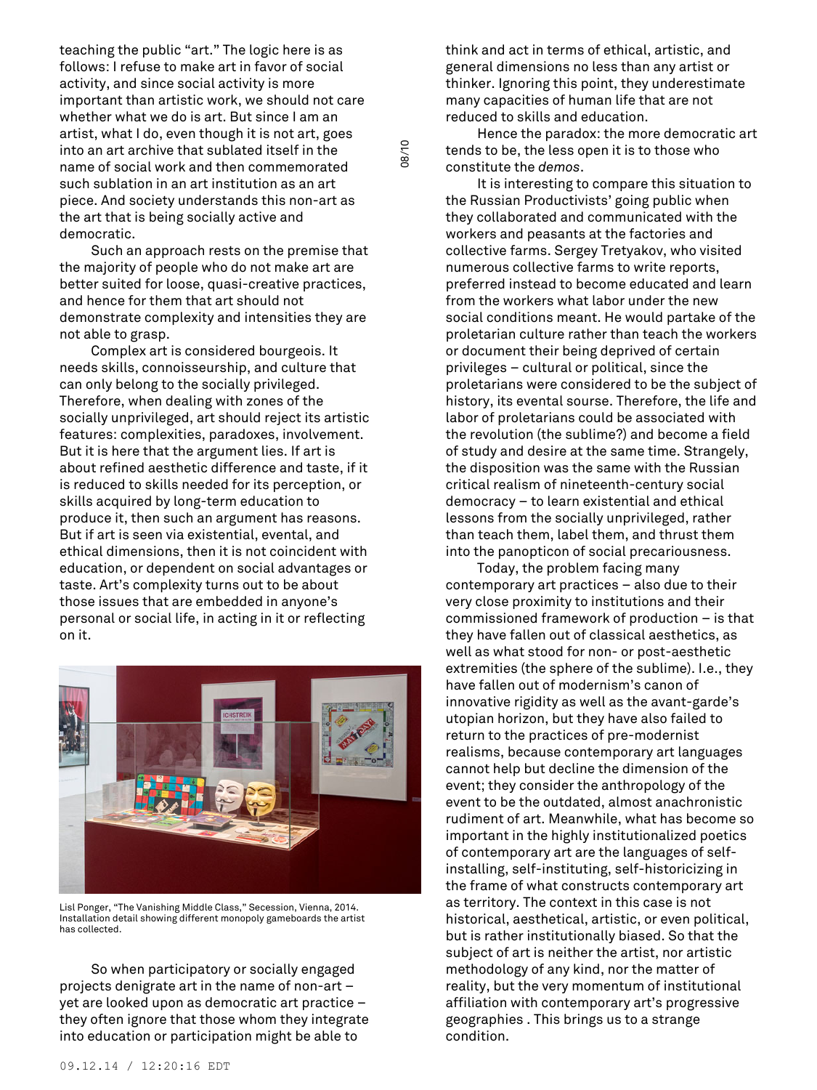teaching the public "art." The logic here is as follows: I refuse to make art in favor of social activity, and since social activity is more important than artistic work, we should not care whether what we do is art. But since I am an artist, what I do, even though it is not art, goes into an art archive that sublated itself in the name of social work and then commemorated such sublation in an art institution as an art piece. And society understands this non-art as the art that is being socially active and democratic.

08/10

Such an approach rests on the premise that the majority of people who do not make art are better suited for loose, quasi-creative practices, and hence for them that art should not demonstrate complexity and intensities they are not able to grasp.

Complex art is considered bourgeois. It needs skills, connoisseurship, and culture that can only belong to the socially privileged. Therefore, when dealing with zones of the socially unprivileged, art should reject its artistic features: complexities, paradoxes, involvement. But it is here that the argument lies. If art is about refined aesthetic difference and taste, if it is reduced to skills needed for its perception, or skills acquired by long-term education to produce it, then such an argument has reasons. But if art is seen via existential, evental, and ethical dimensions, then it is not coincident with education, or dependent on social advantages or taste. Art's complexity turns out to be about those issues that are embedded in anyone's personal or social life, in acting in it or reflecting on it.



Lisl Ponger, "The Vanishing Middle Class," Secession, Vienna, 2014. Installation detail showing different monopoly gameboards the artist has collected.

So when participatory or socially engaged projects denigrate art in the name of non-art – yet are looked upon as democratic art practice – they often ignore that those whom they integrate into education or participation might be able to

think and act in terms of ethical, artistic, and general dimensions no less than any artist or thinker. Ignoring this point, they underestimate many capacities of human life that are not reduced to skills and education.

Hence the paradox: the more democratic art tends to be, the less open it is to those who constitute the *demos*.

It is interesting to compare this situation to the Russian Productivists' going public when they collaborated and communicated with the workers and peasants at the factories and collective farms. Sergey Tretyakov, who visited numerous collective farms to write reports, preferred instead to become educated and learn from the workers what labor under the new social conditions meant. He would partake of the proletarian culture rather than teach the workers or document their being deprived of certain privileges – cultural or political, since the proletarians were considered to be the subject of history, its evental sourse. Therefore, the life and labor of proletarians could be associated with the revolution (the sublime?) and become a field of study and desire at the same time. Strangely, the disposition was the same with the Russian critical realism of nineteenth-century social democracy – to learn existential and ethical lessons from the socially unprivileged, rather than teach them, label them, and thrust them into the panopticon of social precariousness.

Today, the problem facing many contemporary art practices – also due to their very close proximity to institutions and their commissioned framework of production – is that they have fallen out of classical aesthetics, as well as what stood for non- or post-aesthetic extremities (the sphere of the sublime). I.e., they have fallen out of modernism's canon of innovative rigidity as well as the avant-garde's utopian horizon, but they have also failed to return to the practices of pre-modernist realisms, because contemporary art languages cannot help but decline the dimension of the event; they consider the anthropology of the event to be the outdated, almost anachronistic rudiment of art. Meanwhile, what has become so important in the highly institutionalized poetics of contemporary art are the languages of selfinstalling, self-instituting, self-historicizing in the frame of what constructs contemporary art as territory. The context in this case is not historical, aesthetical, artistic, or even political, but is rather institutionally biased. So that the subject of art is neither the artist, nor artistic methodology of any kind, nor the matter of reality, but the very momentum of institutional affiliation with contemporary art's progressive geographies . This brings us to a strange condition.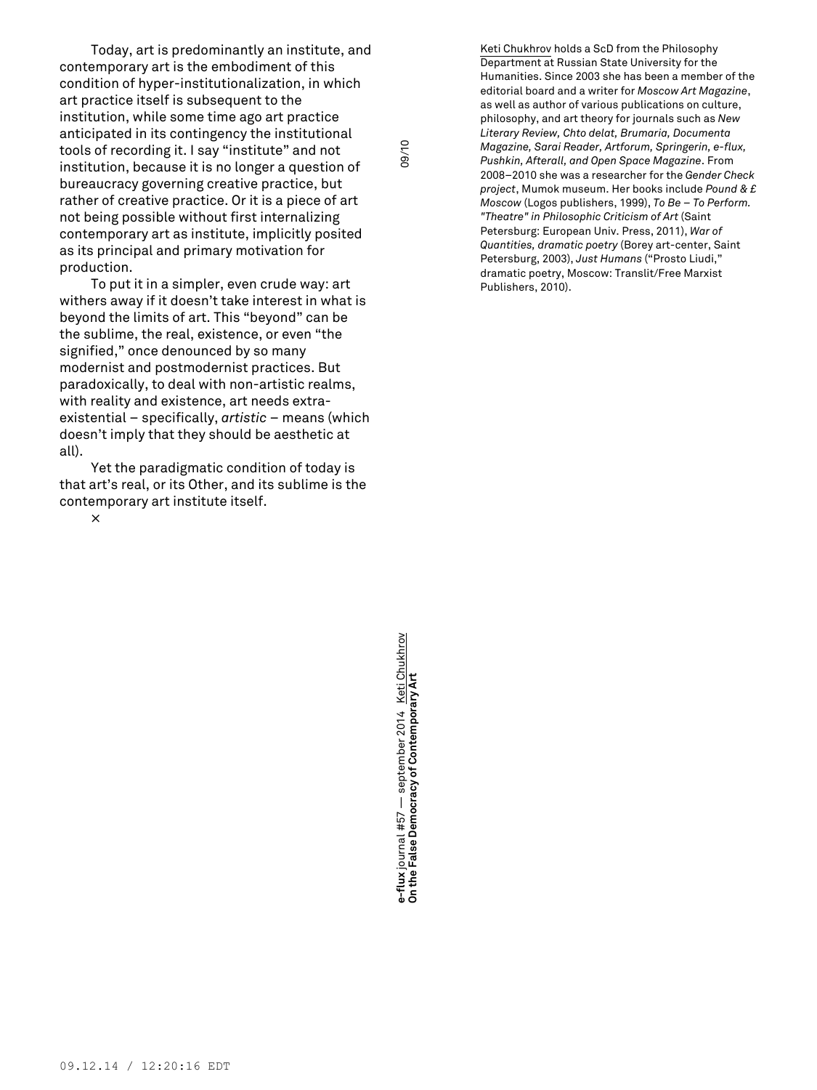Today, art is predominantly an institute, and contemporary art is the embodiment of this condition of hyper-institutionalization, in which art practice itself is subsequent to the institution, while some time ago art practice anticipated in its contingency the institutional tools of recording it. I say "institute" and not institution, because it is no longer a question of bureaucracy governing creative practice, but rather of creative practice. Or it is a piece of art not being possible without first internalizing contemporary art as institute, implicitly posited as its principal and primary motivation for production.

To put it in a simpler, even crude way: art withers away if it doesn't take interest in what is beyond the limits of art. This "beyond" can be the sublime, the real, existence, or even "the signified," once denounced by so many modernist and postmodernist practices. But paradoxically, to deal with non-artistic realms, with reality and existence, art needs extraexistential – specifically, *artistic* – means (which doesn't imply that they should be aesthetic at all).

Yet the paradigmatic condition of today is that art's real, or its Other, and its sublime is the contemporary art institute itself.

×

**On the False Democracy of Contemporary Art** 09/10 e-flux journal #57 — september 2014 <u>Keti Chukhrov</u><br>On the False Democracy of Contemporary Art **e-flux** journal #57 — september 2014 <u>Keti Chukhrov</u><br>On the False Democracy of Contemporary Art

09/10

Keti Chukhrov holds a ScD from the Philosophy Department at Russian State University for the Humanities. Since 2003 she has been a member of the editorial board and a writer for *Moscow Art Magazine*, as well as author of various publications on culture, philosophy, and art theory for journals such as *New Literary Review, Chto delat, Brumaria, Documenta Magazine, Sarai Reader, Artforum, Springerin, e-flux, Pushkin, Afterall, and Open Space Magazine*. From 2008–2010 she was a researcher for the *Gender Check project*, Mumok museum. Her books include *Pound & £ Moscow* (Logos publishers, 1999), *To Be – To Perform. "Theatre" in Philosophic Criticism of Art* (Saint Petersburg: European Univ. Press, 2011), *War of Quantities, dramatic poetry* (Borey art-center, Saint Petersburg, 2003), *Just Humans* ("Prosto Liudi," dramatic poetry, Moscow: Translit/Free Marxist Publishers, 2010).